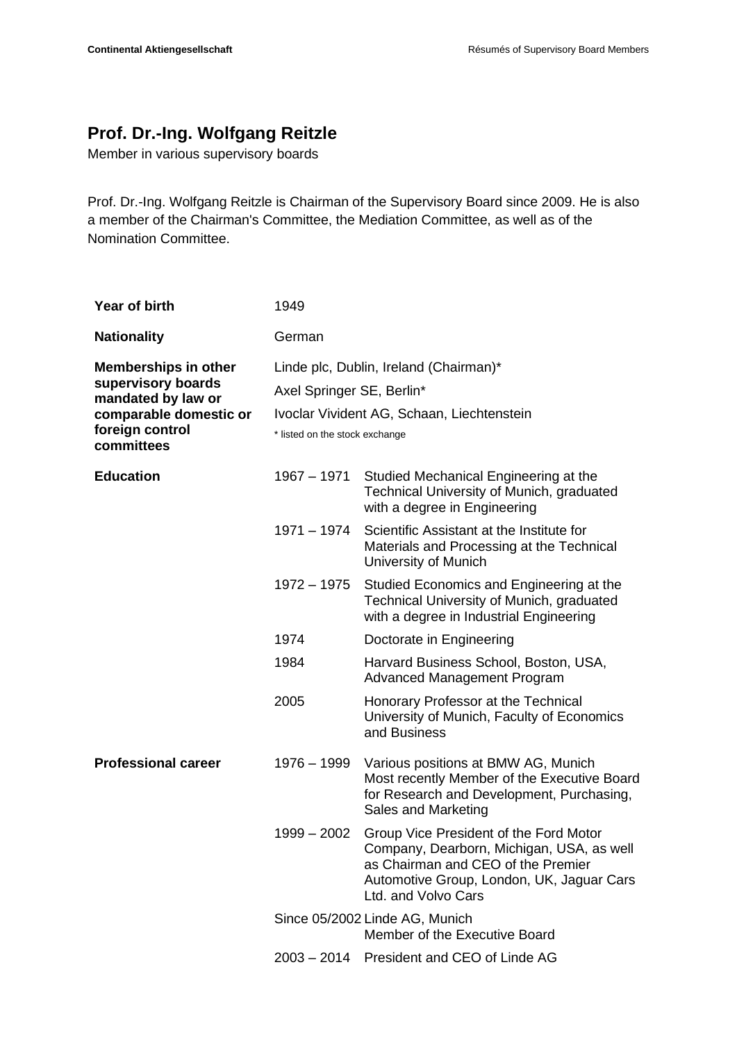## **Prof. Dr.-Ing. Wolfgang Reitzle**

Member in various supervisory boards

Prof. Dr.-Ing. Wolfgang Reitzle is Chairman of the Supervisory Board since 2009. He is also a member of the Chairman's Committee, the Mediation Committee, as well as of the Nomination Committee.

| Year of birth                                                                                                                      | 1949                                                                                                                                                |                                                                                                                                                                                               |
|------------------------------------------------------------------------------------------------------------------------------------|-----------------------------------------------------------------------------------------------------------------------------------------------------|-----------------------------------------------------------------------------------------------------------------------------------------------------------------------------------------------|
| <b>Nationality</b>                                                                                                                 | German                                                                                                                                              |                                                                                                                                                                                               |
| <b>Memberships in other</b><br>supervisory boards<br>mandated by law or<br>comparable domestic or<br>foreign control<br>committees | Linde plc, Dublin, Ireland (Chairman)*<br>Axel Springer SE, Berlin*<br>Ivoclar Vivident AG, Schaan, Liechtenstein<br>* listed on the stock exchange |                                                                                                                                                                                               |
| <b>Education</b>                                                                                                                   | 1967 - 1971                                                                                                                                         | Studied Mechanical Engineering at the<br>Technical University of Munich, graduated<br>with a degree in Engineering                                                                            |
|                                                                                                                                    | 1971 - 1974                                                                                                                                         | Scientific Assistant at the Institute for<br>Materials and Processing at the Technical<br>University of Munich                                                                                |
|                                                                                                                                    | 1972 – 1975                                                                                                                                         | Studied Economics and Engineering at the<br>Technical University of Munich, graduated<br>with a degree in Industrial Engineering                                                              |
|                                                                                                                                    | 1974                                                                                                                                                | Doctorate in Engineering                                                                                                                                                                      |
|                                                                                                                                    | 1984                                                                                                                                                | Harvard Business School, Boston, USA,<br><b>Advanced Management Program</b>                                                                                                                   |
|                                                                                                                                    | 2005                                                                                                                                                | Honorary Professor at the Technical<br>University of Munich, Faculty of Economics<br>and Business                                                                                             |
| <b>Professional career</b>                                                                                                         | $1976 - 1999$                                                                                                                                       | Various positions at BMW AG, Munich<br>Most recently Member of the Executive Board<br>for Research and Development, Purchasing,<br>Sales and Marketing                                        |
|                                                                                                                                    | $1999 - 2002$                                                                                                                                       | Group Vice President of the Ford Motor<br>Company, Dearborn, Michigan, USA, as well<br>as Chairman and CEO of the Premier<br>Automotive Group, London, UK, Jaguar Cars<br>Ltd. and Volvo Cars |
|                                                                                                                                    |                                                                                                                                                     | Since 05/2002 Linde AG, Munich<br>Member of the Executive Board                                                                                                                               |
|                                                                                                                                    |                                                                                                                                                     | 2003 - 2014 President and CEO of Linde AG                                                                                                                                                     |